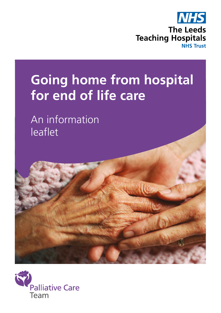

# **Going home from hospital for end of life care**

An information leaflet

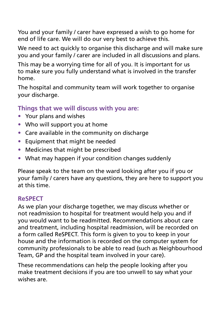You and your family / carer have expressed a wish to go home for end of life care. We will do our very best to achieve this.

We need to act quickly to organise this discharge and will make sure you and your family / carer are included in all discussions and plans.

This may be a worrying time for all of you. It is important for us to make sure you fully understand what is involved in the transfer home.

The hospital and community team will work together to organise your discharge.

**Things that we will discuss with you are:**

- Your plans and wishes
- Who will support you at home
- Care available in the community on discharge
- Equipment that might be needed
- Medicines that might be prescribed
- What may happen if your condition changes suddenly

Please speak to the team on the ward looking after you if you or your family / carers have any questions, they are here to support you at this time.

#### **ReSPECT**

As we plan your discharge together, we may discuss whether or not readmission to hospital for treatment would help you and if you would want to be readmitted. Recommendations about care and treatment, including hospital readmission, will be recorded on a form called ReSPECT. This form is given to you to keep in your house and the information is recorded on the computer system for community professionals to be able to read (such as Neighbourhood Team, GP and the hospital team involved in your care).

These recommendations can help the people looking after you make treatment decisions if you are too unwell to say what your wishes are.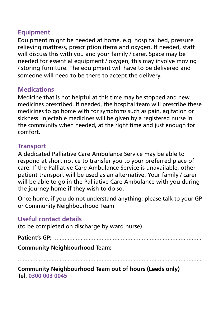## **Equipment**

Equipment might be needed at home, e.g. hospital bed, pressure relieving mattress, prescription items and oxygen. If needed, staff will discuss this with you and your family / carer. Space may be needed for essential equipment / oxygen, this may involve moving / storing furniture. The equipment will have to be delivered and someone will need to be there to accept the delivery.

#### **Medications**

Medicine that is not helpful at this time may be stopped and new medicines prescribed. If needed, the hospital team will prescribe these medicines to go home with for symptoms such as pain, agitation or sickness. Injectable medicines will be given by a registered nurse in the community when needed, at the right time and just enough for comfort.

## **Transport**

A dedicated Palliative Care Ambulance Service may be able to respond at short notice to transfer you to your preferred place of care. If the Palliative Care Ambulance Service is unavailable, other patient transport will be used as an alternative. Your family / carer will be able to go in the Palliative Care Ambulance with you during the journey home if they wish to do so.

Once home, if you do not understand anything, please talk to your GP or Community Neighbourhood Team.

## **Useful contact details**

(to be completed on discharge by ward nurse)

**Patient's GP:** ............................................................................................

**Community Neighbourhood Team:** 

..................................................................................................................

**Community Neighbourhood Team out of hours (Leeds only) Tel. 0300 003 0045**